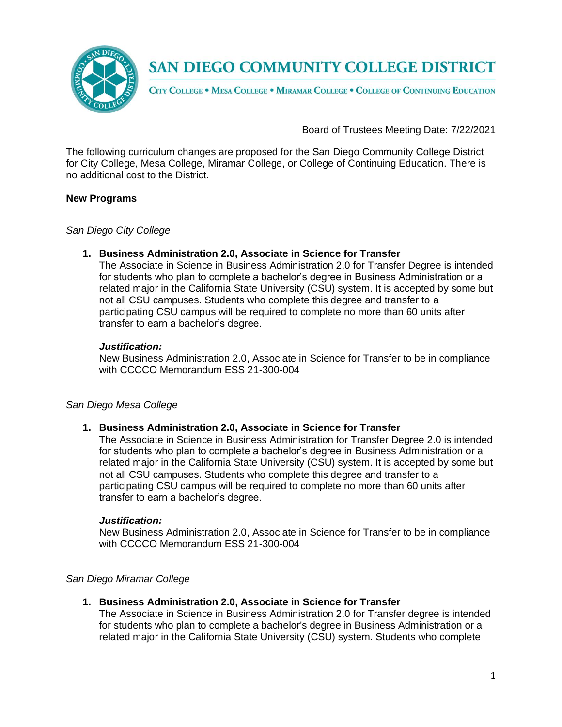

## **SAN DIEGO COMMUNITY COLLEGE DISTRICT**

CITY COLLEGE . MESA COLLEGE . MIRAMAR COLLEGE . COLLEGE OF CONTINUING EDUCATION

### Board of Trustees Meeting Date: 7/22/2021

The following curriculum changes are proposed for the San Diego Community College District for City College, Mesa College, Miramar College, or College of Continuing Education. There is no additional cost to the District.

### **New Programs**

*San Diego City College*

### **1. Business Administration 2.0, Associate in Science for Transfer**

The Associate in Science in Business Administration 2.0 for Transfer Degree is intended for students who plan to complete a bachelor's degree in Business Administration or a related major in the California State University (CSU) system. It is accepted by some but not all CSU campuses. Students who complete this degree and transfer to a participating CSU campus will be required to complete no more than 60 units after transfer to earn a bachelor's degree.

### *Justification:*

New Business Administration 2.0, Associate in Science for Transfer to be in compliance with CCCCO Memorandum ESS 21-300-004

## *San Diego Mesa College*

### **1. Business Administration 2.0, Associate in Science for Transfer**

The Associate in Science in Business Administration for Transfer Degree 2.0 is intended for students who plan to complete a bachelor's degree in Business Administration or a related major in the California State University (CSU) system. It is accepted by some but not all CSU campuses. Students who complete this degree and transfer to a participating CSU campus will be required to complete no more than 60 units after transfer to earn a bachelor's degree.

### *Justification:*

New Business Administration 2.0, Associate in Science for Transfer to be in compliance with CCCCO Memorandum ESS 21-300-004

### *San Diego Miramar College*

## **1. Business Administration 2.0, Associate in Science for Transfer**

The Associate in Science in Business Administration 2.0 for Transfer degree is intended for students who plan to complete a bachelor's degree in Business Administration or a related major in the California State University (CSU) system. Students who complete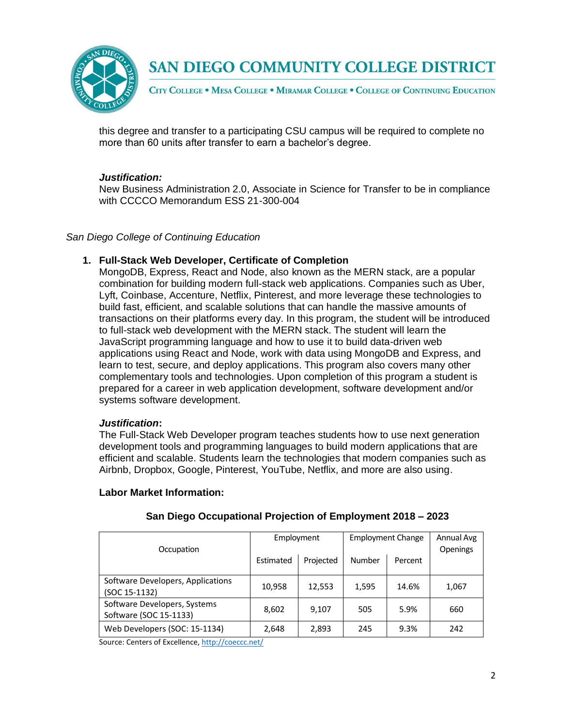

## **SAN DIEGO COMMUNITY COLLEGE DISTRICT**

CITY COLLEGE . MESA COLLEGE . MIRAMAR COLLEGE . COLLEGE OF CONTINUING EDUCATION

this degree and transfer to a participating CSU campus will be required to complete no more than 60 units after transfer to earn a bachelor's degree.

## *Justification:*

New Business Administration 2.0, Associate in Science for Transfer to be in compliance with CCCCO Memorandum ESS 21-300-004

## *San Diego College of Continuing Education*

## **1. Full-Stack Web Developer, Certificate of Completion**

MongoDB, Express, React and Node, also known as the MERN stack, are a popular combination for building modern full-stack web applications. Companies such as Uber, Lyft, Coinbase, Accenture, Netflix, Pinterest, and more leverage these technologies to build fast, efficient, and scalable solutions that can handle the massive amounts of transactions on their platforms every day. In this program, the student will be introduced to full-stack web development with the MERN stack. The student will learn the JavaScript programming language and how to use it to build data-driven web applications using React and Node, work with data using MongoDB and Express, and learn to test, secure, and deploy applications. This program also covers many other complementary tools and technologies. Upon completion of this program a student is prepared for a career in web application development, software development and/or systems software development.

### *Justification***:**

The Full-Stack Web Developer program teaches students how to use next generation development tools and programming languages to build modern applications that are efficient and scalable. Students learn the technologies that modern companies such as Airbnb, Dropbox, Google, Pinterest, YouTube, Netflix, and more are also using.

### **Labor Market Information:**

| Occupation                                             | Employment |           | <b>Employment Change</b> |         | Annual Avg<br>Openings |
|--------------------------------------------------------|------------|-----------|--------------------------|---------|------------------------|
|                                                        | Estimated  | Projected | Number                   | Percent |                        |
| Software Developers, Applications<br>(SOC 15-1132)     | 10,958     | 12,553    | 1,595                    | 14.6%   | 1,067                  |
| Software Developers, Systems<br>Software (SOC 15-1133) | 8,602      | 9,107     | 505                      | 5.9%    | 660                    |
| Web Developers (SOC: 15-1134)                          | 2,648      | 2,893     | 245                      | 9.3%    | 242                    |

## **San Diego Occupational Projection of Employment 2018 – 2023**

Source: Centers of Excellence, <http://coeccc.net/>